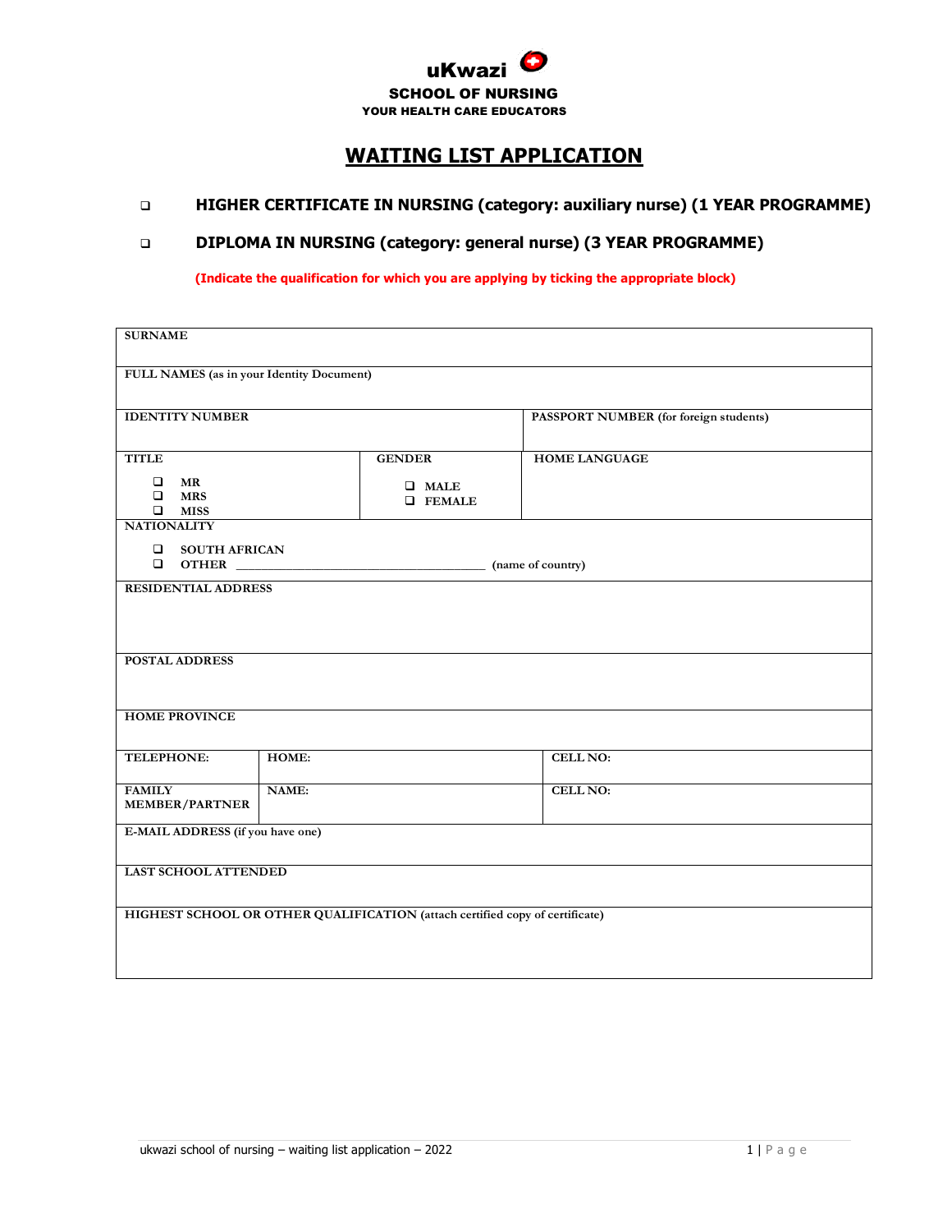

## **WAITING LIST APPLICATION**

## ❑ **HIGHER CERTIFICATE IN NURSING (category: auxiliary nurse) (1 YEAR PROGRAMME)**

## ❑ **DIPLOMA IN NURSING (category: general nurse) (3 YEAR PROGRAMME)**

**(Indicate the qualification for which you are applying by ticking the appropriate block)**

| <b>SURNAME</b>                                                               |                                |                                        |  |  |  |  |  |
|------------------------------------------------------------------------------|--------------------------------|----------------------------------------|--|--|--|--|--|
|                                                                              |                                |                                        |  |  |  |  |  |
| FULL NAMES (as in your Identity Document)                                    |                                |                                        |  |  |  |  |  |
|                                                                              |                                |                                        |  |  |  |  |  |
| <b>IDENTITY NUMBER</b>                                                       |                                | PASSPORT NUMBER (for foreign students) |  |  |  |  |  |
| <b>TITLE</b>                                                                 | <b>GENDER</b>                  | <b>HOME LANGUAGE</b>                   |  |  |  |  |  |
| $\Box$<br><b>MR</b>                                                          |                                |                                        |  |  |  |  |  |
| <b>MRS</b><br>$\Box$                                                         | $\Box$ MALE<br><b>Q</b> FEMALE |                                        |  |  |  |  |  |
| <b>NATIONALITY</b>                                                           | $\Box$ MISS                    |                                        |  |  |  |  |  |
| <b>Q</b> SOUTH AFRICAN                                                       |                                |                                        |  |  |  |  |  |
|                                                                              |                                |                                        |  |  |  |  |  |
| <b>RESIDENTIAL ADDRESS</b>                                                   |                                |                                        |  |  |  |  |  |
|                                                                              |                                |                                        |  |  |  |  |  |
|                                                                              |                                |                                        |  |  |  |  |  |
| <b>POSTAL ADDRESS</b>                                                        |                                |                                        |  |  |  |  |  |
|                                                                              |                                |                                        |  |  |  |  |  |
|                                                                              |                                |                                        |  |  |  |  |  |
| <b>HOME PROVINCE</b>                                                         |                                |                                        |  |  |  |  |  |
| <b>TELEPHONE:</b>                                                            | HOME:                          | <b>CELL NO:</b>                        |  |  |  |  |  |
|                                                                              |                                |                                        |  |  |  |  |  |
| <b>FAMILY</b>                                                                | NAME:                          | <b>CELL NO:</b>                        |  |  |  |  |  |
|                                                                              |                                |                                        |  |  |  |  |  |
|                                                                              |                                |                                        |  |  |  |  |  |
| <b>LAST SCHOOL ATTENDED</b>                                                  |                                |                                        |  |  |  |  |  |
|                                                                              |                                |                                        |  |  |  |  |  |
| HIGHEST SCHOOL OR OTHER QUALIFICATION (attach certified copy of certificate) |                                |                                        |  |  |  |  |  |
|                                                                              |                                |                                        |  |  |  |  |  |
|                                                                              |                                |                                        |  |  |  |  |  |
| <b>MEMBER/PARTNER</b><br>E-MAIL ADDRESS (if you have one)                    |                                |                                        |  |  |  |  |  |